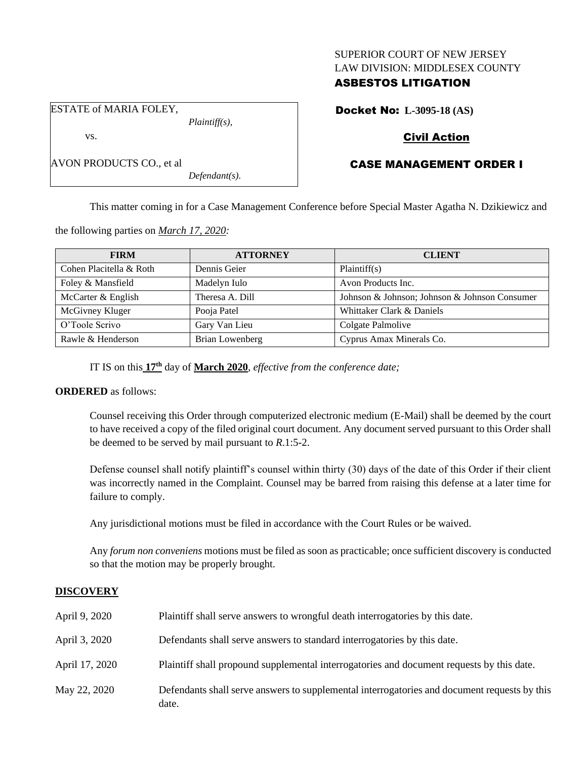### SUPERIOR COURT OF NEW JERSEY LAW DIVISION: MIDDLESEX COUNTY

# ASBESTOS LITIGATION

Docket No: **L-3095-18 (AS)**

# Civil Action

# CASE MANAGEMENT ORDER I

This matter coming in for a Case Management Conference before Special Master Agatha N. Dzikiewicz and

the following parties on *March 17, 2020:*

ESTATE of MARIA FOLEY,

AVON PRODUCTS CO., et al

vs.

| <b>FIRM</b>             | <b>ATTORNEY</b> | <b>CLIENT</b>                                 |
|-------------------------|-----------------|-----------------------------------------------|
| Cohen Placitella & Roth | Dennis Geier    | Plaintiff(s)                                  |
| Foley & Mansfield       | Madelyn Iulo    | Avon Products Inc.                            |
| McCarter & English      | Theresa A. Dill | Johnson & Johnson; Johnson & Johnson Consumer |
| McGivney Kluger         | Pooja Patel     | Whittaker Clark & Daniels                     |
| O'Toole Scrivo          | Gary Van Lieu   | Colgate Palmolive                             |
| Rawle & Henderson       | Brian Lowenberg | Cyprus Amax Minerals Co.                      |

IT IS on this **17th** day of **March 2020**, *effective from the conference date;*

*Plaintiff(s),*

*Defendant(s).*

# **ORDERED** as follows:

Counsel receiving this Order through computerized electronic medium (E-Mail) shall be deemed by the court to have received a copy of the filed original court document. Any document served pursuant to this Order shall be deemed to be served by mail pursuant to *R*.1:5-2.

Defense counsel shall notify plaintiff's counsel within thirty (30) days of the date of this Order if their client was incorrectly named in the Complaint. Counsel may be barred from raising this defense at a later time for failure to comply.

Any jurisdictional motions must be filed in accordance with the Court Rules or be waived.

Any *forum non conveniens* motions must be filed as soon as practicable; once sufficient discovery is conducted so that the motion may be properly brought.

### **DISCOVERY**

| April 9, 2020  | Plaintiff shall serve answers to wrongful death interrogatories by this date.                         |
|----------------|-------------------------------------------------------------------------------------------------------|
| April 3, 2020  | Defendants shall serve answers to standard interrogatories by this date.                              |
| April 17, 2020 | Plaintiff shall propound supplemental interrogatories and document requests by this date.             |
| May 22, 2020   | Defendants shall serve answers to supplemental interrogatories and document requests by this<br>date. |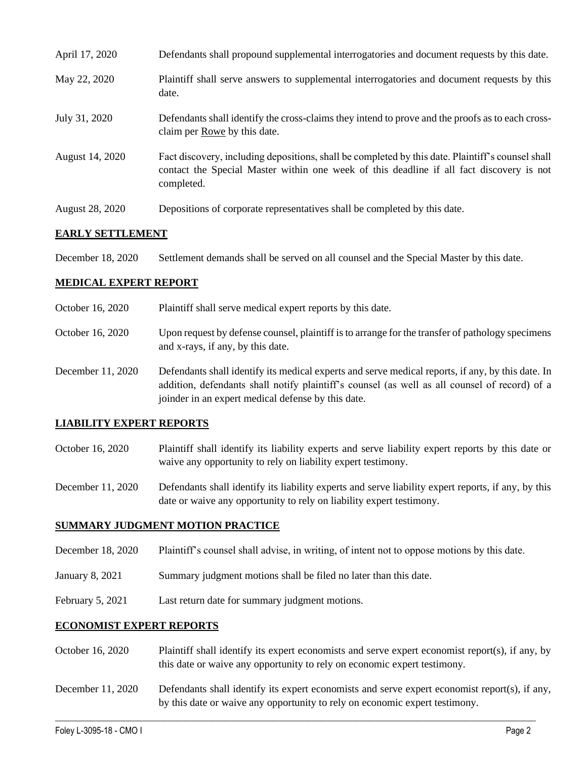| April 17, 2020  | Defendants shall propound supplemental interrogatories and document requests by this date.                                                                                                                  |
|-----------------|-------------------------------------------------------------------------------------------------------------------------------------------------------------------------------------------------------------|
| May 22, 2020    | Plaintiff shall serve answers to supplemental interrogatories and document requests by this<br>date.                                                                                                        |
| July 31, 2020   | Defendants shall identify the cross-claims they intend to prove and the proofs as to each cross-<br>claim per Rowe by this date.                                                                            |
| August 14, 2020 | Fact discovery, including depositions, shall be completed by this date. Plaintiff's counsel shall<br>contact the Special Master within one week of this deadline if all fact discovery is not<br>completed. |
| August 28, 2020 | Depositions of corporate representatives shall be completed by this date.                                                                                                                                   |

### **EARLY SETTLEMENT**

December 18, 2020 Settlement demands shall be served on all counsel and the Special Master by this date.

### **MEDICAL EXPERT REPORT**

October 16, 2020 Plaintiff shall serve medical expert reports by this date. October 16, 2020 Upon request by defense counsel, plaintiff is to arrange for the transfer of pathology specimens and x-rays, if any, by this date. December 11, 2020 Defendants shall identify its medical experts and serve medical reports, if any, by this date. In addition, defendants shall notify plaintiff's counsel (as well as all counsel of record) of a joinder in an expert medical defense by this date.

#### **LIABILITY EXPERT REPORTS**

October 16, 2020 Plaintiff shall identify its liability experts and serve liability expert reports by this date or waive any opportunity to rely on liability expert testimony.

December 11, 2020 Defendants shall identify its liability experts and serve liability expert reports, if any, by this date or waive any opportunity to rely on liability expert testimony.

#### **SUMMARY JUDGMENT MOTION PRACTICE**

- December 18, 2020 Plaintiff's counsel shall advise, in writing, of intent not to oppose motions by this date.
- January 8, 2021 Summary judgment motions shall be filed no later than this date.
- February 5, 2021 Last return date for summary judgment motions.

#### **ECONOMIST EXPERT REPORTS**

- October 16, 2020 Plaintiff shall identify its expert economists and serve expert economist report(s), if any, by this date or waive any opportunity to rely on economic expert testimony.
- December 11, 2020 Defendants shall identify its expert economists and serve expert economist report(s), if any, by this date or waive any opportunity to rely on economic expert testimony.

 $\_$  , and the set of the set of the set of the set of the set of the set of the set of the set of the set of the set of the set of the set of the set of the set of the set of the set of the set of the set of the set of th